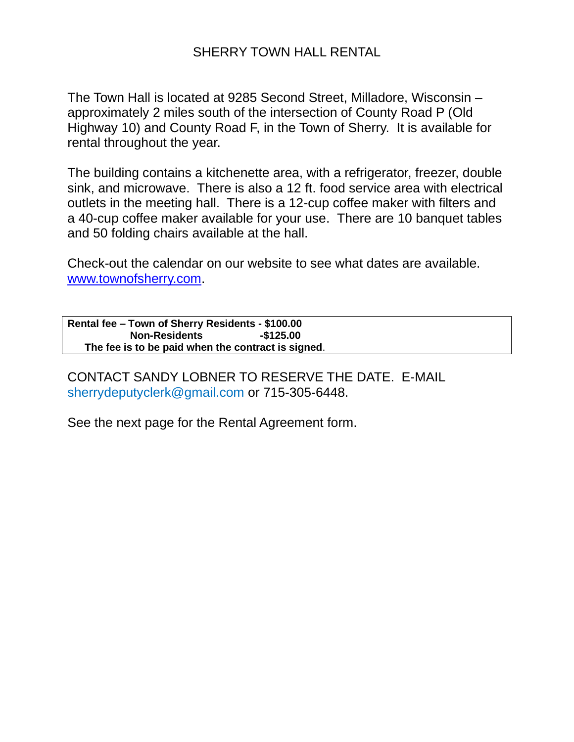## SHERRY TOWN HALL RENTAL

The Town Hall is located at 9285 Second Street, Milladore, Wisconsin – approximately 2 miles south of the intersection of County Road P (Old Highway 10) and County Road F, in the Town of Sherry. It is available for rental throughout the year.

The building contains a kitchenette area, with a refrigerator, freezer, double sink, and microwave. There is also a 12 ft. food service area with electrical outlets in the meeting hall. There is a 12-cup coffee maker with filters and a 40-cup coffee maker available for your use. There are 10 banquet tables and 50 folding chairs available at the hall.

Check-out the calendar on our website to see what dates are available. [www.townofsherry.com.](http://www.townofsherry.com/)

**Rental fee – Town of Sherry Residents - \$100.00 Non-Residents -\$125.00 The fee is to be paid when the contract is signed**.

CONTACT SANDY LOBNER TO RESERVE THE DATE. E-MAIL sherrydeputyclerk@gmail.com or 715-305-6448.

See the next page for the Rental Agreement form.